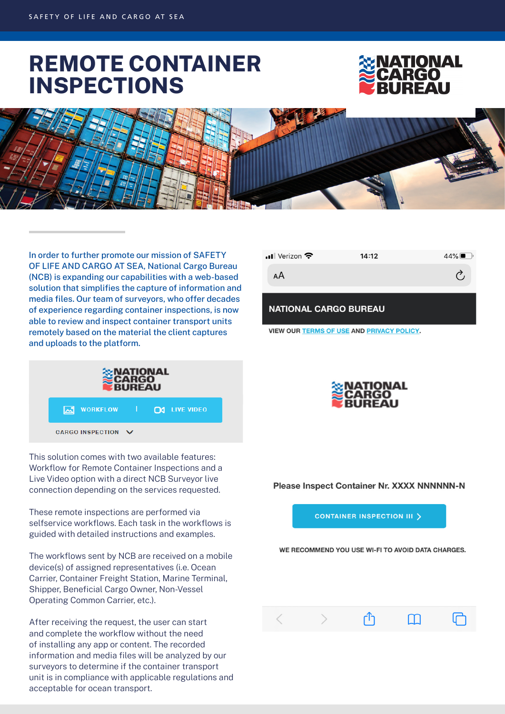# **REMOTE CONTAINER INSPECTIONS**





In order to further promote our mission of SAFETY OF LIFE AND CARGO AT SEA, National Cargo Bureau (NCB) is expanding our capabilities with a web-based solution that simplifies the capture of information and media files. Our team of surveyors, who offer decades of experience regarding container inspections, is now able to review and inspect container transport units remotely based on the material the client captures and uploads to the platform.



This solution comes with two available features: Workflow for Remote Container Inspections and a Live Video option with a direct NCB Surveyor live connection depending on the services requested.

These remote inspections are performed via selfservice workflows. Each task in the workflows is guided with detailed instructions and examples.

The workflows sent by NCB are received on a mobile device(s) of assigned representatives (i.e. Ocean Carrier, Container Freight Station, Marine Terminal, Shipper, Beneficial Cargo Owner, Non-Vessel Operating Common Carrier, etc.).

After receiving the request, the user can start and complete the workflow without the need of installing any app or content. The recorded information and media files will be analyzed by our surveyors to determine if the container transport unit is in compliance with applicable regulations and acceptable for ocean transport.

| $\blacksquare$ Verizon | 14:12 | $44\%$ $\blacksquare$ |
|------------------------|-------|-----------------------|
| AА                     |       |                       |
|                        |       |                       |

**NATIONAL CARGO BUREAU** 

**VIEW OUR TERMS OF USE AND PRIVACY POLICY.** 



Please Inspect Container Nr. XXXX NNNNNN-N

**CONTAINER INSPECTION III >** 

WE RECOMMEND YOU USE WI-FI TO AVOID DATA CHARGES.